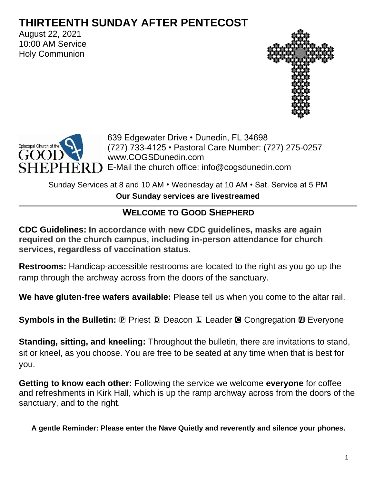# **THIRTEENTH SUNDAY AFTER PENTECOST**

August 22, 2021 10:00 AM Service Holy Communion





639 Edgewater Drive • Dunedin, FL 34698 (727) 733-4125 • Pastoral Care Number: (727) 275-0257 www.COGSDunedin.com  $ERD$  E-Mail the church office: info@cogsdunedin.com

Sunday Services at 8 and 10 AM • Wednesday at 10 AM • Sat. Service at 5 PM

**Our Sunday services are livestreamed**

# **WELCOME TO GOOD SHEPHERD**

**CDC Guidelines: In accordance with new CDC guidelines, masks are again required on the church campus, including in-person attendance for church services, regardless of vaccination status.**

**Restrooms:** Handicap-accessible restrooms are located to the right as you go up the ramp through the archway across from the doors of the sanctuary.

**We have gluten-free wafers available:** Please tell us when you come to the altar rail.

**Symbols in the Bulletin: P Priest D Deacon L Leader G Congregation M Everyone** 

**Standing, sitting, and kneeling:** Throughout the bulletin, there are invitations to stand, sit or kneel, as you choose. You are free to be seated at any time when that is best for you.

**Getting to know each other:** Following the service we welcome **everyone** for coffee and refreshments in Kirk Hall, which is up the ramp archway across from the doors of the sanctuary, and to the right.

**A gentle Reminder: Please enter the Nave Quietly and reverently and silence your phones.**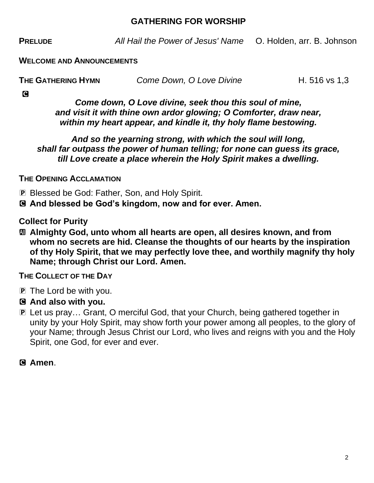#### **GATHERING FOR WORSHIP**

**PRELUDE** *All Hail the Power of Jesus' Name* O. Holden, arr. B. Johnson

**WELCOME AND ANNOUNCEMENTS**

| THE GATHERING HYMN | Come Down, O Love Divine | H. 516 vs 1,3 |
|--------------------|--------------------------|---------------|
|                    |                          |               |

C

*Come down, O Love divine, seek thou this soul of mine, and visit it with thine own ardor glowing; O Comforter, draw near, within my heart appear, and kindle it, thy holy flame bestowing.*

# *And so the yearning strong, with which the soul will long, shall far outpass the power of human telling; for none can guess its grace, till Love create a place wherein the Holy Spirit makes a dwelling.*

**THE OPENING ACCLAMATION**

P Blessed be God: Father, Son, and Holy Spirit.

C **And blessed be God's kingdom, now and for ever. Amen.**

# **Collect for Purity**

a **Almighty God, unto whom all hearts are open, all desires known, and from whom no secrets are hid. Cleanse the thoughts of our hearts by the inspiration of thy Holy Spirit, that we may perfectly love thee, and worthily magnify thy holy Name; through Christ our Lord. Amen.**

**THE COLLECT OF THE DAY**

P The Lord be with you.

# C **And also with you.**

P Let us pray… Grant, O merciful God, that your Church, being gathered together in unity by your Holy Spirit, may show forth your power among all peoples, to the glory of your Name; through Jesus Christ our Lord, who lives and reigns with you and the Holy Spirit, one God, for ever and ever.

# C **Amen**.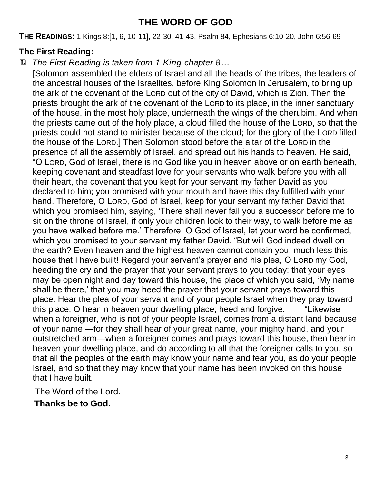# **THE WORD OF GOD**

**THE READINGS:** 1 Kings 8:[1, 6, 10-11], 22-30, 41-43, Psalm 84, Ephesians 6:10-20, John 6:56-69

# **The First Reading:**

L *The First Reading is taken from 1 King chapter 8…*

[Solomon assembled the elders of Israel and all the heads of the tribes, the leaders of the ancestral houses of the Israelites, before King Solomon in Jerusalem, to bring up the ark of the covenant of the LORD out of the city of David, which is Zion. Then the priests brought the ark of the covenant of the LORD to its place, in the inner sanctuary of the house, in the most holy place, underneath the wings of the cherubim. And when the priests came out of the holy place, a cloud filled the house of the LORD, so that the priests could not stand to minister because of the cloud; for the glory of the LORD filled the house of the LORD.] Then Solomon stood before the altar of the LORD in the presence of all the assembly of Israel, and spread out his hands to heaven. He said, "O LORD, God of Israel, there is no God like you in heaven above or on earth beneath, keeping covenant and steadfast love for your servants who walk before you with all their heart, the covenant that you kept for your servant my father David as you declared to him; you promised with your mouth and have this day fulfilled with your hand. Therefore, O LORD, God of Israel, keep for your servant my father David that which you promised him, saying, 'There shall never fail you a successor before me to sit on the throne of Israel, if only your children look to their way, to walk before me as you have walked before me.' Therefore, O God of Israel, let your word be confirmed, which you promised to your servant my father David. "But will God indeed dwell on the earth? Even heaven and the highest heaven cannot contain you, much less this house that I have built! Regard your servant's prayer and his plea, O LORD my God, heeding the cry and the prayer that your servant prays to you today; that your eyes may be open night and day toward this house, the place of which you said, 'My name shall be there,' that you may heed the prayer that your servant prays toward this place. Hear the plea of your servant and of your people Israel when they pray toward this place; O hear in heaven your dwelling place; heed and forgive. "Likewise when a foreigner, who is not of your people Israel, comes from a distant land because of your name —for they shall hear of your great name, your mighty hand, and your outstretched arm—when a foreigner comes and prays toward this house, then hear in heaven your dwelling place, and do according to all that the foreigner calls to you, so that all the peoples of the earth may know your name and fear you, as do your people Israel, and so that they may know that your name has been invoked on this house that I have built.

The Word of the Lord.

<sup>C</sup> **Thanks be to God.**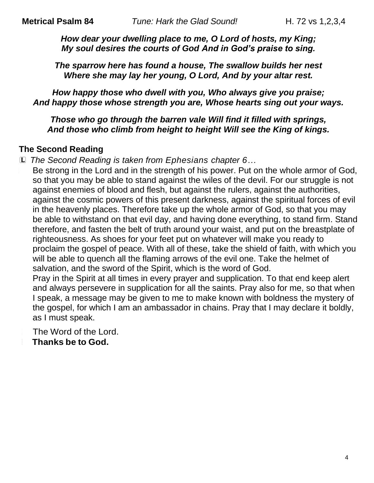*How dear your dwelling place to me, O Lord of hosts, my King; My soul desires the courts of God And in God's praise to sing.*

*The sparrow here has found a house, The swallow builds her nest Where she may lay her young, O Lord, And by your altar rest.*

*How happy those who dwell with you, Who always give you praise; And happy those whose strength you are, Whose hearts sing out your ways.*

*Those who go through the barren vale Will find it filled with springs, And those who climb from height to height Will see the King of kings.*

## **The Second Reading**

L *The Second Reading is taken from Ephesians chapter 6…*

Be strong in the Lord and in the strength of his power. Put on the whole armor of God, so that you may be able to stand against the wiles of the devil. For our struggle is not against enemies of blood and flesh, but against the rulers, against the authorities, against the cosmic powers of this present darkness, against the spiritual forces of evil in the heavenly places. Therefore take up the whole armor of God, so that you may be able to withstand on that evil day, and having done everything, to stand firm. Stand therefore, and fasten the belt of truth around your waist, and put on the breastplate of righteousness. As shoes for your feet put on whatever will make you ready to proclaim the gospel of peace. With all of these, take the shield of faith, with which you will be able to quench all the flaming arrows of the evil one. Take the helmet of salvation, and the sword of the Spirit, which is the word of God.

Pray in the Spirit at all times in every prayer and supplication. To that end keep alert and always persevere in supplication for all the saints. Pray also for me, so that when I speak, a message may be given to me to make known with boldness the mystery of the gospel, for which I am an ambassador in chains. Pray that I may declare it boldly, as I must speak.

The Word of the Lord. <sup>C</sup> **Thanks be to God.**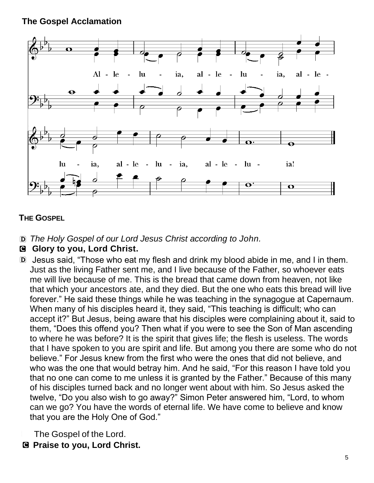# **The Gospel Acclamation**



# **THE GOSPEL**

D *The Holy Gospel of our Lord Jesus Christ according to John.*

# C **Glory to you, Lord Christ.**

- D Jesus said, "Those who eat my flesh and drink my blood abide in me, and I in them. Just as the living Father sent me, and I live because of the Father, so whoever eats me will live because of me. This is the bread that came down from heaven, not like that which your ancestors ate, and they died. But the one who eats this bread will live forever." He said these things while he was teaching in the synagogue at Capernaum. When many of his disciples heard it, they said, "This teaching is difficult; who can accept it?" But Jesus, being aware that his disciples were complaining about it, said to them, "Does this offend you? Then what if you were to see the Son of Man ascending to where he was before? It is the spirit that gives life; the flesh is useless. The words that I have spoken to you are spirit and life. But among you there are some who do not believe." For Jesus knew from the first who were the ones that did not believe, and who was the one that would betray him. And he said, "For this reason I have told you that no one can come to me unless it is granted by the Father." Because of this many of his disciples turned back and no longer went about with him. So Jesus asked the twelve, "Do you also wish to go away?" Simon Peter answered him, "Lord, to whom can we go? You have the words of eternal life. We have come to believe and know that you are the Holy One of God."
- The Gospel of the Lord. C **Praise to you, Lord Christ.**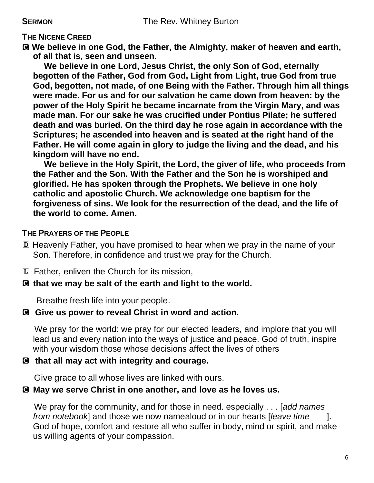#### **THE NICENE CREED**

C **We believe in one God, the Father, the Almighty, maker of heaven and earth, of all that is, seen and unseen.**

**We believe in one Lord, Jesus Christ, the only Son of God, eternally begotten of the Father, God from God, Light from Light, true God from true God, begotten, not made, of one Being with the Father. Through him all things were made. For us and for our salvation he came down from heaven: by the power of the Holy Spirit he became incarnate from the Virgin Mary, and was made man. For our sake he was crucified under Pontius Pilate; he suffered death and was buried. On the third day he rose again in accordance with the Scriptures; he ascended into heaven and is seated at the right hand of the Father. He will come again in glory to judge the living and the dead, and his kingdom will have no end.**

**We believe in the Holy Spirit, the Lord, the giver of life, who proceeds from the Father and the Son. With the Father and the Son he is worshiped and glorified. He has spoken through the Prophets. We believe in one holy catholic and apostolic Church. We acknowledge one baptism for the forgiveness of sins. We look for the resurrection of the dead, and the life of the world to come. Amen.**

#### **THE PRAYERS OF THE PEOPLE**

- D Heavenly Father, you have promised to hear when we pray in the name of your Son. Therefore, in confidence and trust we pray for the Church.
- L Father, enliven the Church for its mission,

#### C **that we may be salt of the earth and light to the world.**

Breathe fresh life into your people.

# C **Give us power to reveal Christ in word and action.**

We pray for the world: we pray for our elected leaders, and implore that you will lead us and every nation into the ways of justice and peace. God of truth, inspire with your wisdom those whose decisions affect the lives of others

## C **that all may act with integrity and courage.**

Give grace to all whose lives are linked with ours.

# C **May we serve Christ in one another, and love as he loves us.**

<sup>L</sup> We pray for the community, and for those in need. especially . . . [*add names from notebook*] and those we now namealoud or in our hearts [*leave time* ]. God of hope, comfort and restore all who suffer in body, mind or spirit, and make us willing agents of your compassion.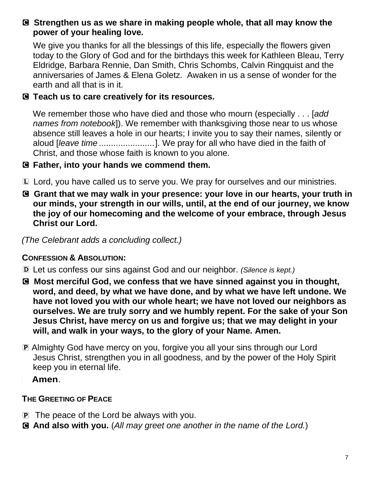## C **Strengthen us as we share in making people whole, that all may know the power of your healing love.**

We give you thanks for all the blessings of this life, especially the flowers given today to the Glory of God and for the birthdays this week for Kathleen Bleau, Terry Eldridge, Barbara Rennie, Dan Smith, Chris Schombs, Calvin Ringquist and the anniversaries of James & Elena Goletz*.* Awaken in us a sense of wonder for the earth and all that is in it.

## C **Teach us to care creatively for its resources.**

<sup>L</sup> We remember those who have died and those who mourn (especially . . . [*add names from notebook*]). We remember with thanksgiving those near to us whose absence still leaves a hole in our hearts; I invite you to say their names, silently or aloud [*leave time .......................*]. We pray for all who have died in the faith of Christ, and those whose faith is known to you alone.

#### C **Father, into your hands we commend them.**

- L Lord, you have called us to serve you. We pray for ourselves and our ministries.
- C **Grant that we may walk in your presence: your love in our hearts, your truth in our minds, your strength in our wills, until, at the end of our journey, we know the joy of our homecoming and the welcome of your embrace, through Jesus Christ our Lord.**

## *(The Celebrant adds a concluding collect.)*

#### **CONFESSION & ABSOLUTION:**

- D Let us confess our sins against God and our neighbor. *(Silence is kept.)*
- C **Most merciful God, we confess that we have sinned against you in thought, word, and deed, by what we have done, and by what we have left undone. We have not loved you with our whole heart; we have not loved our neighbors as ourselves. We are truly sorry and we humbly repent. For the sake of your Son Jesus Christ, have mercy on us and forgive us; that we may delight in your will, and walk in your ways, to the glory of your Name. Amen.**
- P Almighty God have mercy on you, forgive you all your sins through our Lord Jesus Christ, strengthen you in all goodness, and by the power of the Holy Spirit keep you in eternal life.
	- <sup>C</sup> **Amen**.

# **THE GREETING OF PEACE**

- P The peace of the Lord be always with you.
- C **And also with you.** (*All may greet one another in the name of the Lord.*)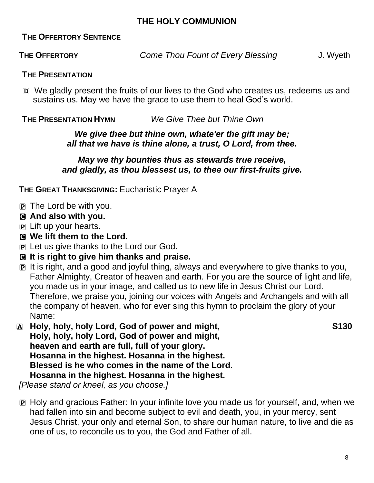#### **THE HOLY COMMUNION**

#### **THE OFFERTORY SENTENCE**

**THE OFFERTORY** *Come Thou Fount of Every Blessing* J. Wyeth

#### **THE PRESENTATION**

D We gladly present the fruits of our lives to the God who creates us, redeems us and sustains us. May we have the grace to use them to heal God's world.

**THE PRESENTATION HYMN** *We Give Thee but Thine Own*

*We give thee but thine own, whate'er the gift may be; all that we have is thine alone, a trust, O Lord, from thee.* 

*May we thy bounties thus as stewards true receive, and gladly, as thou blessest us, to thee our first-fruits give.*

**THE GREAT THANKSGIVING:** Eucharistic Prayer A

- $\overline{p}$  The Lord be with you.
- C **And also with you.**
- P Lift up your hearts.
- C **We lift them to the Lord.**
- P Let us give thanks to the Lord our God.
- C **It is right to give him thanks and praise.**
- **P** It is right, and a good and joyful thing, always and everywhere to give thanks to you, Father Almighty, Creator of heaven and earth. For you are the source of light and life, you made us in your image, and called us to new life in Jesus Christ our Lord. Therefore, we praise you, joining our voices with Angels and Archangels and with all the company of heaven, who for ever sing this hymn to proclaim the glory of your Name:
- A **Holy, holy, holy Lord, God of power and might, S130 Holy, holy, holy Lord, God of power and might, heaven and earth are full, full of your glory. Hosanna in the highest. Hosanna in the highest. Blessed is he who comes in the name of the Lord. Hosanna in the highest. Hosanna in the highest.**

*[Please stand or kneel, as you choose.]*

P Holy and gracious Father: In your infinite love you made us for yourself, and, when we had fallen into sin and become subject to evil and death, you, in your mercy, sent Jesus Christ, your only and eternal Son, to share our human nature, to live and die as one of us, to reconcile us to you, the God and Father of all.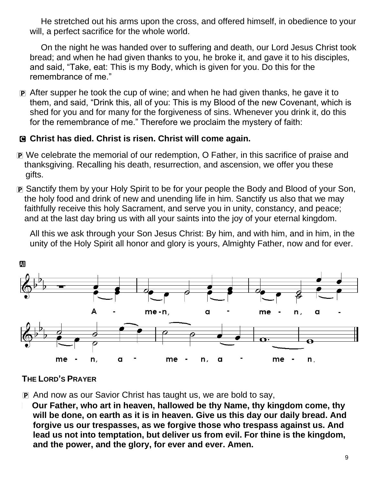He stretched out his arms upon the cross, and offered himself, in obedience to your will, a perfect sacrifice for the whole world.

On the night he was handed over to suffering and death, our Lord Jesus Christ took bread; and when he had given thanks to you, he broke it, and gave it to his disciples, and said, "Take, eat: This is my Body, which is given for you. Do this for the remembrance of me."

 $\mathbb P$  After supper he took the cup of wine; and when he had given thanks, he gave it to them, and said, "Drink this, all of you: This is my Blood of the new Covenant, which is shed for you and for many for the forgiveness of sins. Whenever you drink it, do this for the remembrance of me." Therefore we proclaim the mystery of faith:

# C **Christ has died. Christ is risen. Christ will come again.**

- P We celebrate the memorial of our redemption, O Father, in this sacrifice of praise and thanksgiving. Recalling his death, resurrection, and ascension, we offer you these gifts.
- P Sanctify them by your Holy Spirit to be for your people the Body and Blood of your Son, the holy food and drink of new and unending life in him. Sanctify us also that we may faithfully receive this holy Sacrament, and serve you in unity, constancy, and peace; and at the last day bring us with all your saints into the joy of your eternal kingdom.

All this we ask through your Son Jesus Christ: By him, and with him, and in him, in the unity of the Holy Spirit all honor and glory is yours, Almighty Father, now and for ever.



#### **THE LORD'S PRAYER**

- P And now as our Savior Christ has taught us, we are bold to say,
	- <sup>a</sup> **Our Father, who art in heaven, hallowed be thy Name, thy kingdom come, thy will be done, on earth as it is in heaven. Give us this day our daily bread. And forgive us our trespasses, as we forgive those who trespass against us. And lead us not into temptation, but deliver us from evil. For thine is the kingdom, and the power, and the glory, for ever and ever. Amen.**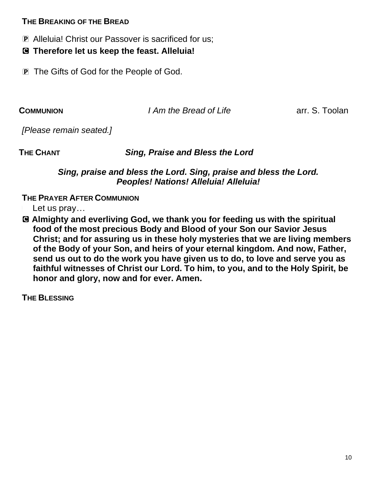#### **THE BREAKING OF THE BREAD**

P Alleluia! Christ our Passover is sacrificed for us;

# C **Therefore let us keep the feast. Alleluia!**

P The Gifts of God for the People of God.

**COMMUNION**  *I Am the Bread of Life* **arr. S. Toolan** 

*[Please remain seated.]*

**THE CHANT** *Sing, Praise and Bless the Lord*

#### *Sing, praise and bless the Lord. Sing, praise and bless the Lord. Peoples! Nations! Alleluia! Alleluia!*

**THE PRAYER AFTER COMMUNION**

- Let us pray...
- C **Almighty and everliving God, we thank you for feeding us with the spiritual food of the most precious Body and Blood of your Son our Savior Jesus Christ; and for assuring us in these holy mysteries that we are living members of the Body of your Son, and heirs of your eternal kingdom. And now, Father, send us out to do the work you have given us to do, to love and serve you as faithful witnesses of Christ our Lord. To him, to you, and to the Holy Spirit, be honor and glory, now and for ever. Amen.**

**THE BLESSING**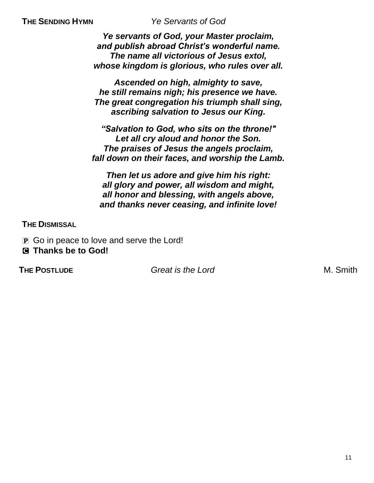**THE SENDING HYMN** *Ye Servants of God*

*Ye servants of God, your Master proclaim, and publish abroad Christ's wonderful name. The name all victorious of Jesus extol, whose kingdom is glorious, who rules over all.*

*Ascended on high, almighty to save, he still remains nigh; his presence we have. The great congregation his triumph shall sing, ascribing salvation to Jesus our King.*

*"Salvation to God, who sits on the throne!" Let all cry aloud and honor the Son. The praises of Jesus the angels proclaim, fall down on their faces, and worship the Lamb.*

*Then let us adore and give him his right: all glory and power, all wisdom and might, all honor and blessing, with angels above, and thanks never ceasing, and infinite love!*

#### **THE DISMISSAL**

- P Go in peace to love and serve the Lord!
- C **Thanks be to God!**

**THE POSTLUDE** *Great is the Lord* M. Smith